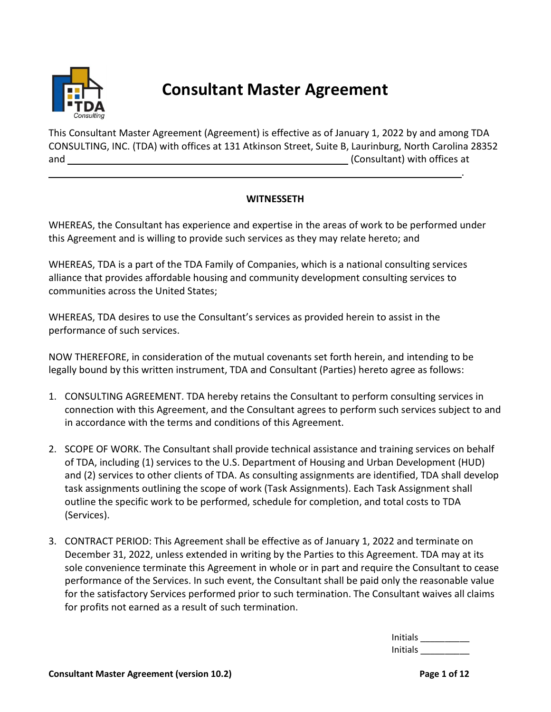

# **Consultant Master Agreement**

This Consultant Master Agreement (Agreement) is effective as of January 1, 2022 by and among TDA CONSULTING, INC. (TDA) with offices at 131 Atkinson Street, Suite B, Laurinburg, North Carolina 28352 and (Consultant) with offices at

## **WITNESSETH**

WHEREAS, the Consultant has experience and expertise in the areas of work to be performed under this Agreement and is willing to provide such services as they may relate hereto; and

WHEREAS, TDA is a part of the TDA Family of Companies, which is a national consulting services alliance that provides affordable housing and community development consulting services to communities across the United States;

WHEREAS, TDA desires to use the Consultant's services as provided herein to assist in the performance of such services.

NOW THEREFORE, in consideration of the mutual covenants set forth herein, and intending to be legally bound by this written instrument, TDA and Consultant (Parties) hereto agree as follows:

- 1. CONSULTING AGREEMENT. TDA hereby retains the Consultant to perform consulting services in connection with this Agreement, and the Consultant agrees to perform such services subject to and in accordance with the terms and conditions of this Agreement.
- 2. SCOPE OF WORK. The Consultant shall provide technical assistance and training services on behalf of TDA, including (1) services to the U.S. Department of Housing and Urban Development (HUD) and (2) services to other clients of TDA. As consulting assignments are identified, TDA shall develop task assignments outlining the scope of work (Task Assignments). Each Task Assignment shall outline the specific work to be performed, schedule for completion, and total costs to TDA (Services).
- 3. CONTRACT PERIOD: This Agreement shall be effective as of January 1, 2022 and terminate on December 31, 2022, unless extended in writing by the Parties to this Agreement. TDA may at its sole convenience terminate this Agreement in whole or in part and require the Consultant to cease performance of the Services. In such event, the Consultant shall be paid only the reasonable value for the satisfactory Services performed prior to such termination. The Consultant waives all claims for profits not earned as a result of such termination.

Initials \_\_\_\_\_\_\_\_\_\_ Initials \_\_\_\_\_\_\_\_\_\_

.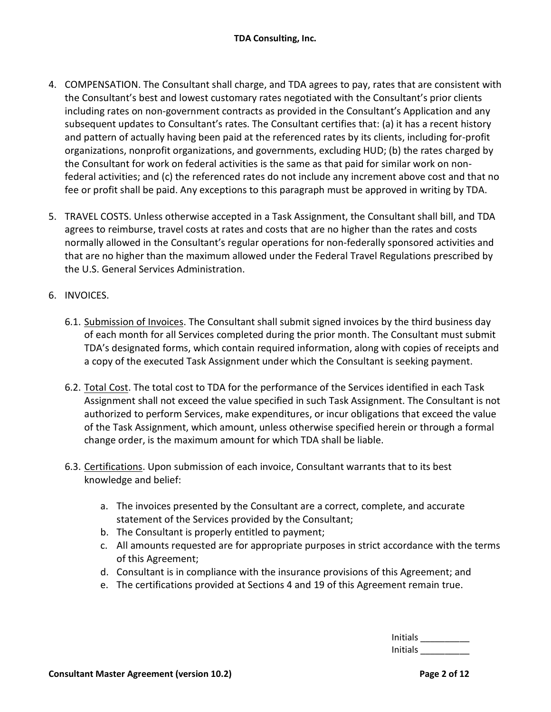- 4. COMPENSATION. The Consultant shall charge, and TDA agrees to pay, rates that are consistent with the Consultant's best and lowest customary rates negotiated with the Consultant's prior clients including rates on non-government contracts as provided in the Consultant's Application and any subsequent updates to Consultant's rates. The Consultant certifies that: (a) it has a recent history and pattern of actually having been paid at the referenced rates by its clients, including for-profit organizations, nonprofit organizations, and governments, excluding HUD; (b) the rates charged by the Consultant for work on federal activities is the same as that paid for similar work on nonfederal activities; and (c) the referenced rates do not include any increment above cost and that no fee or profit shall be paid. Any exceptions to this paragraph must be approved in writing by TDA.
- 5. TRAVEL COSTS. Unless otherwise accepted in a Task Assignment, the Consultant shall bill, and TDA agrees to reimburse, travel costs at rates and costs that are no higher than the rates and costs normally allowed in the Consultant's regular operations for non-federally sponsored activities and that are no higher than the maximum allowed under the Federal Travel Regulations prescribed by the U.S. General Services Administration.
- 6. INVOICES.
	- 6.1. Submission of Invoices. The Consultant shall submit signed invoices by the third business day of each month for all Services completed during the prior month. The Consultant must submit TDA's designated forms, which contain required information, along with copies of receipts and a copy of the executed Task Assignment under which the Consultant is seeking payment.
	- 6.2. Total Cost. The total cost to TDA for the performance of the Services identified in each Task Assignment shall not exceed the value specified in such Task Assignment. The Consultant is not authorized to perform Services, make expenditures, or incur obligations that exceed the value of the Task Assignment, which amount, unless otherwise specified herein or through a formal change order, is the maximum amount for which TDA shall be liable.
	- 6.3. Certifications. Upon submission of each invoice, Consultant warrants that to its best knowledge and belief:
		- a. The invoices presented by the Consultant are a correct, complete, and accurate statement of the Services provided by the Consultant;
		- b. The Consultant is properly entitled to payment;
		- c. All amounts requested are for appropriate purposes in strict accordance with the terms of this Agreement;
		- d. Consultant is in compliance with the insurance provisions of this Agreement; and
		- e. The certifications provided at Sections 4 and 19 of this Agreement remain true.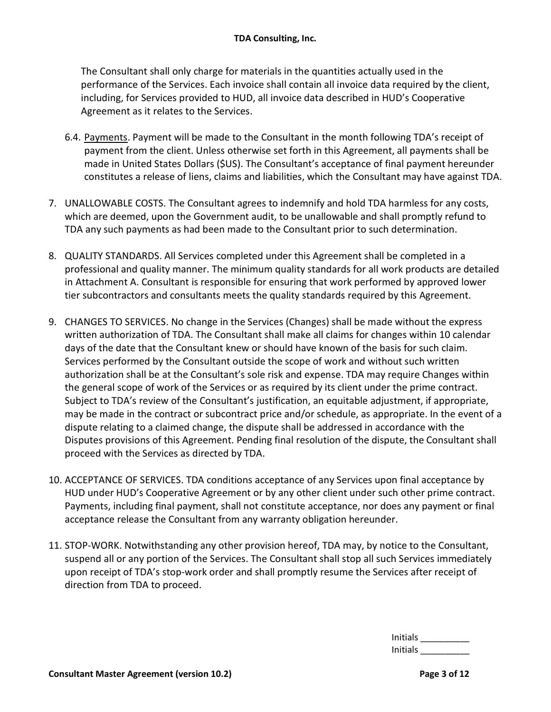The Consultant shall only charge for materials in the quantities actually used in the performance of the Services. Each invoice shall contain all invoice data required by the client, including, for Services provided to HUD, all invoice data described in HUD's Cooperative Agreement as it relates to the Services.

- 6.4. Payments. Payment will be made to the Consultant in the month following TDA's receipt of payment from the client. Unless otherwise set forth in this Agreement, all payments shall be made in United States Dollars (\$US). The Consultant's acceptance of final payment hereunder constitutes a release of liens, claims and liabilities, which the Consultant may have against TDA.
- 7. UNALLOWABLE COSTS. The Consultant agrees to indemnify and hold TDA harmless for any costs, which are deemed, upon the Government audit, to be unallowable and shall promptly refund to TDA any such payments as had been made to the Consultant prior to such determination.
- 8. QUALITY STANDARDS. All Services completed under this Agreement shall be completed in a professional and quality manner. The minimum quality standards for all work products are detailed in Attachment A. Consultant is responsible for ensuring that work performed by approved lower tier subcontractors and consultants meets the quality standards required by this Agreement.
- 9. CHANGES TO SERVICES. No change in the Services (Changes) shall be made without the express written authorization of TDA. The Consultant shall make all claims for changes within 10 calendar days of the date that the Consultant knew or should have known of the basis for such claim. Services performed by the Consultant outside the scope of work and without such written authorization shall be at the Consultant's sole risk and expense. TDA may require Changes within the general scope of work of the Services or as required by its client under the prime contract. Subject to TDA's review of the Consultant's justification, an equitable adjustment, if appropriate, may be made in the contract or subcontract price and/or schedule, as appropriate. In the event of a dispute relating to a claimed change, the dispute shall be addressed in accordance with the Disputes provisions of this Agreement. Pending final resolution of the dispute, the Consultant shall proceed with the Services as directed by TDA.
- 10. ACCEPTANCE OF SERVICES. TDA conditions acceptance of any Services upon final acceptance by HUD under HUD's Cooperative Agreement or by any other client under such other prime contract. Payments, including final payment, shall not constitute acceptance, nor does any payment or final acceptance release the Consultant from any warranty obligation hereunder.
- 11. STOP-WORK. Notwithstanding any other provision hereof, TDA may, by notice to the Consultant, suspend all or any portion of the Services. The Consultant shall stop all such Services immediately upon receipt of TDA's stop-work order and shall promptly resume the Services after receipt of direction from TDA to proceed.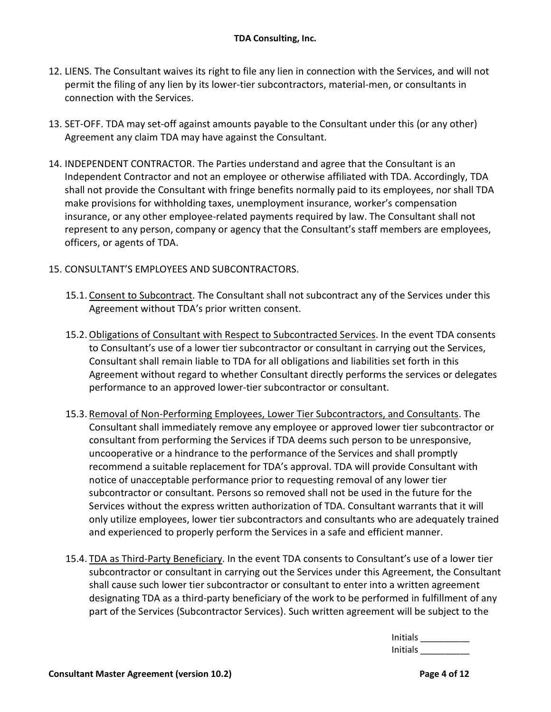- 12. LIENS. The Consultant waives its right to file any lien in connection with the Services, and will not permit the filing of any lien by its lower-tier subcontractors, material-men, or consultants in connection with the Services.
- 13. SET-OFF. TDA may set-off against amounts payable to the Consultant under this (or any other) Agreement any claim TDA may have against the Consultant.
- 14. INDEPENDENT CONTRACTOR. The Parties understand and agree that the Consultant is an Independent Contractor and not an employee or otherwise affiliated with TDA. Accordingly, TDA shall not provide the Consultant with fringe benefits normally paid to its employees, nor shall TDA make provisions for withholding taxes, unemployment insurance, worker's compensation insurance, or any other employee-related payments required by law. The Consultant shall not represent to any person, company or agency that the Consultant's staff members are employees, officers, or agents of TDA.
- 15. CONSULTANT'S EMPLOYEES AND SUBCONTRACTORS.
	- 15.1. Consent to Subcontract. The Consultant shall not subcontract any of the Services under this Agreement without TDA's prior written consent.
	- 15.2.Obligations of Consultant with Respect to Subcontracted Services. In the event TDA consents to Consultant's use of a lower tier subcontractor or consultant in carrying out the Services, Consultant shall remain liable to TDA for all obligations and liabilities set forth in this Agreement without regard to whether Consultant directly performs the services or delegates performance to an approved lower-tier subcontractor or consultant.
	- 15.3. Removal of Non-Performing Employees, Lower Tier Subcontractors, and Consultants. The Consultant shall immediately remove any employee or approved lower tier subcontractor or consultant from performing the Services if TDA deems such person to be unresponsive, uncooperative or a hindrance to the performance of the Services and shall promptly recommend a suitable replacement for TDA's approval. TDA will provide Consultant with notice of unacceptable performance prior to requesting removal of any lower tier subcontractor or consultant. Persons so removed shall not be used in the future for the Services without the express written authorization of TDA. Consultant warrants that it will only utilize employees, lower tier subcontractors and consultants who are adequately trained and experienced to properly perform the Services in a safe and efficient manner.
	- 15.4. TDA as Third-Party Beneficiary. In the event TDA consents to Consultant's use of a lower tier subcontractor or consultant in carrying out the Services under this Agreement, the Consultant shall cause such lower tier subcontractor or consultant to enter into a written agreement designating TDA as a third-party beneficiary of the work to be performed in fulfillment of any part of the Services (Subcontractor Services). Such written agreement will be subject to the

| <b>Initials</b> |  |
|-----------------|--|
| <b>Initials</b> |  |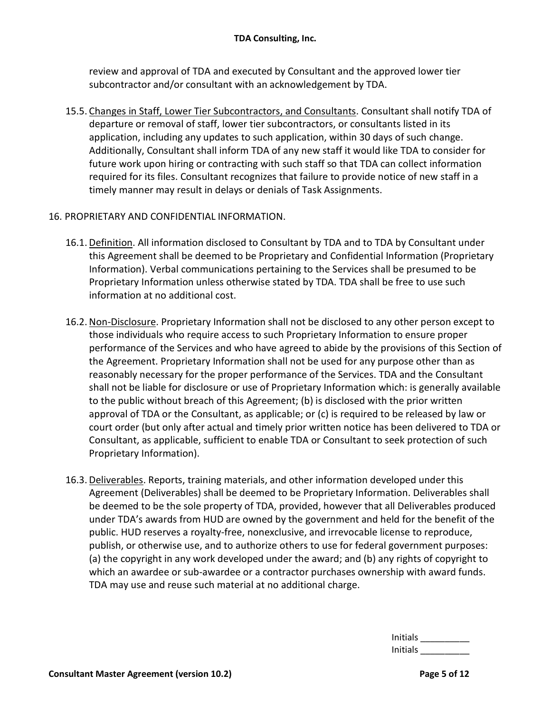review and approval of TDA and executed by Consultant and the approved lower tier subcontractor and/or consultant with an acknowledgement by TDA.

15.5. Changes in Staff, Lower Tier Subcontractors, and Consultants. Consultant shall notify TDA of departure or removal of staff, lower tier subcontractors, or consultants listed in its application, including any updates to such application, within 30 days of such change. Additionally, Consultant shall inform TDA of any new staff it would like TDA to consider for future work upon hiring or contracting with such staff so that TDA can collect information required for its files. Consultant recognizes that failure to provide notice of new staff in a timely manner may result in delays or denials of Task Assignments.

## 16. PROPRIETARY AND CONFIDENTIAL INFORMATION.

- 16.1. Definition. All information disclosed to Consultant by TDA and to TDA by Consultant under this Agreement shall be deemed to be Proprietary and Confidential Information (Proprietary Information). Verbal communications pertaining to the Services shall be presumed to be Proprietary Information unless otherwise stated by TDA. TDA shall be free to use such information at no additional cost.
- 16.2. Non-Disclosure. Proprietary Information shall not be disclosed to any other person except to those individuals who require access to such Proprietary Information to ensure proper performance of the Services and who have agreed to abide by the provisions of this Section of the Agreement. Proprietary Information shall not be used for any purpose other than as reasonably necessary for the proper performance of the Services. TDA and the Consultant shall not be liable for disclosure or use of Proprietary Information which: is generally available to the public without breach of this Agreement; (b) is disclosed with the prior written approval of TDA or the Consultant, as applicable; or (c) is required to be released by law or court order (but only after actual and timely prior written notice has been delivered to TDA or Consultant, as applicable, sufficient to enable TDA or Consultant to seek protection of such Proprietary Information).
- 16.3. Deliverables. Reports, training materials, and other information developed under this Agreement (Deliverables) shall be deemed to be Proprietary Information. Deliverables shall be deemed to be the sole property of TDA, provided, however that all Deliverables produced under TDA's awards from HUD are owned by the government and held for the benefit of the public. HUD reserves a royalty-free, nonexclusive, and irrevocable license to reproduce, publish, or otherwise use, and to authorize others to use for federal government purposes: (a) the copyright in any work developed under the award; and (b) any rights of copyright to which an awardee or sub-awardee or a contractor purchases ownership with award funds. TDA may use and reuse such material at no additional charge.

| Initials |  |
|----------|--|
| Initials |  |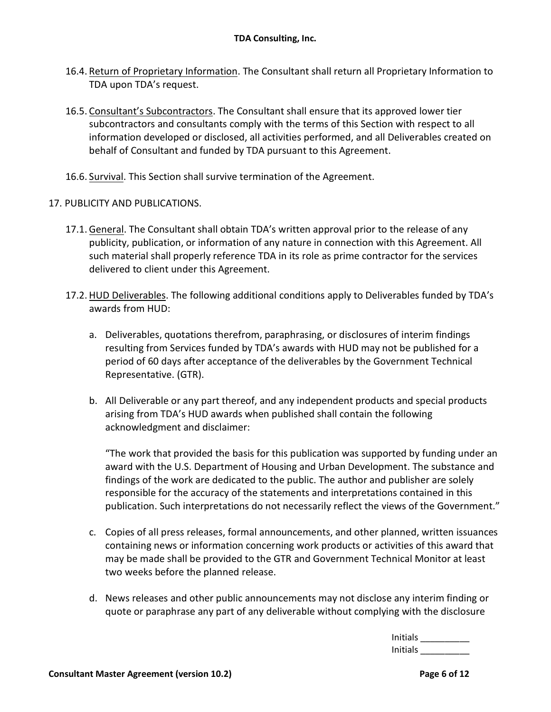- 16.4. Return of Proprietary Information. The Consultant shall return all Proprietary Information to TDA upon TDA's request.
- 16.5. Consultant's Subcontractors. The Consultant shall ensure that its approved lower tier subcontractors and consultants comply with the terms of this Section with respect to all information developed or disclosed, all activities performed, and all Deliverables created on behalf of Consultant and funded by TDA pursuant to this Agreement.
- 16.6. Survival. This Section shall survive termination of the Agreement.
- 17. PUBLICITY AND PUBLICATIONS.
	- 17.1. General. The Consultant shall obtain TDA's written approval prior to the release of any publicity, publication, or information of any nature in connection with this Agreement. All such material shall properly reference TDA in its role as prime contractor for the services delivered to client under this Agreement.
	- 17.2. HUD Deliverables. The following additional conditions apply to Deliverables funded by TDA's awards from HUD:
		- a. Deliverables, quotations therefrom, paraphrasing, or disclosures of interim findings resulting from Services funded by TDA's awards with HUD may not be published for a period of 60 days after acceptance of the deliverables by the Government Technical Representative. (GTR).
		- b. All Deliverable or any part thereof, and any independent products and special products arising from TDA's HUD awards when published shall contain the following acknowledgment and disclaimer:

"The work that provided the basis for this publication was supported by funding under an award with the U.S. Department of Housing and Urban Development. The substance and findings of the work are dedicated to the public. The author and publisher are solely responsible for the accuracy of the statements and interpretations contained in this publication. Such interpretations do not necessarily reflect the views of the Government."

- c. Copies of all press releases, formal announcements, and other planned, written issuances containing news or information concerning work products or activities of this award that may be made shall be provided to the GTR and Government Technical Monitor at least two weeks before the planned release.
- d. News releases and other public announcements may not disclose any interim finding or quote or paraphrase any part of any deliverable without complying with the disclosure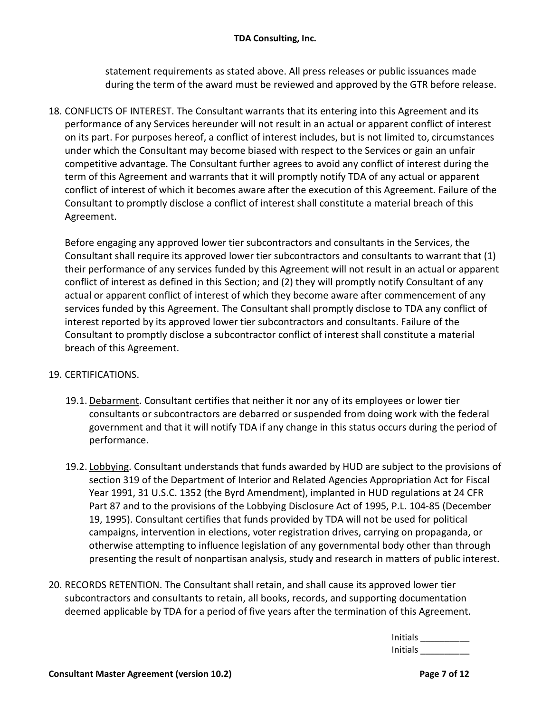statement requirements as stated above. All press releases or public issuances made during the term of the award must be reviewed and approved by the GTR before release.

18. CONFLICTS OF INTEREST. The Consultant warrants that its entering into this Agreement and its performance of any Services hereunder will not result in an actual or apparent conflict of interest on its part. For purposes hereof, a conflict of interest includes, but is not limited to, circumstances under which the Consultant may become biased with respect to the Services or gain an unfair competitive advantage. The Consultant further agrees to avoid any conflict of interest during the term of this Agreement and warrants that it will promptly notify TDA of any actual or apparent conflict of interest of which it becomes aware after the execution of this Agreement. Failure of the Consultant to promptly disclose a conflict of interest shall constitute a material breach of this Agreement.

Before engaging any approved lower tier subcontractors and consultants in the Services, the Consultant shall require its approved lower tier subcontractors and consultants to warrant that (1) their performance of any services funded by this Agreement will not result in an actual or apparent conflict of interest as defined in this Section; and (2) they will promptly notify Consultant of any actual or apparent conflict of interest of which they become aware after commencement of any services funded by this Agreement. The Consultant shall promptly disclose to TDA any conflict of interest reported by its approved lower tier subcontractors and consultants. Failure of the Consultant to promptly disclose a subcontractor conflict of interest shall constitute a material breach of this Agreement.

## 19. CERTIFICATIONS.

- 19.1. Debarment. Consultant certifies that neither it nor any of its employees or lower tier consultants or subcontractors are debarred or suspended from doing work with the federal government and that it will notify TDA if any change in this status occurs during the period of performance.
- 19.2. Lobbying. Consultant understands that funds awarded by HUD are subject to the provisions of section 319 of the Department of Interior and Related Agencies Appropriation Act for Fiscal Year 1991, 31 U.S.C. 1352 (the Byrd Amendment), implanted in HUD regulations at 24 CFR Part 87 and to the provisions of the Lobbying Disclosure Act of 1995, P.L. 104-85 (December 19, 1995). Consultant certifies that funds provided by TDA will not be used for political campaigns, intervention in elections, voter registration drives, carrying on propaganda, or otherwise attempting to influence legislation of any governmental body other than through presenting the result of nonpartisan analysis, study and research in matters of public interest.
- 20. RECORDS RETENTION. The Consultant shall retain, and shall cause its approved lower tier subcontractors and consultants to retain, all books, records, and supporting documentation deemed applicable by TDA for a period of five years after the termination of this Agreement.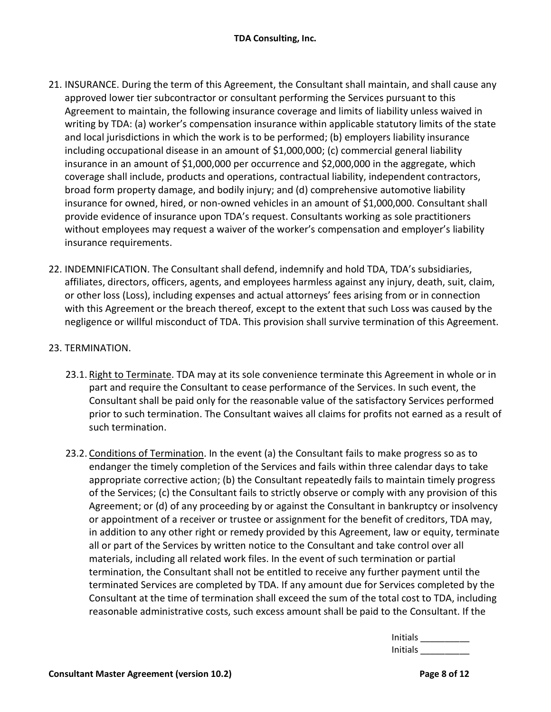- 21. INSURANCE. During the term of this Agreement, the Consultant shall maintain, and shall cause any approved lower tier subcontractor or consultant performing the Services pursuant to this Agreement to maintain, the following insurance coverage and limits of liability unless waived in writing by TDA: (a) worker's compensation insurance within applicable statutory limits of the state and local jurisdictions in which the work is to be performed; (b) employers liability insurance including occupational disease in an amount of \$1,000,000; (c) commercial general liability insurance in an amount of \$1,000,000 per occurrence and \$2,000,000 in the aggregate, which coverage shall include, products and operations, contractual liability, independent contractors, broad form property damage, and bodily injury; and (d) comprehensive automotive liability insurance for owned, hired, or non-owned vehicles in an amount of \$1,000,000. Consultant shall provide evidence of insurance upon TDA's request. Consultants working as sole practitioners without employees may request a waiver of the worker's compensation and employer's liability insurance requirements.
- 22. INDEMNIFICATION. The Consultant shall defend, indemnify and hold TDA, TDA's subsidiaries, affiliates, directors, officers, agents, and employees harmless against any injury, death, suit, claim, or other loss (Loss), including expenses and actual attorneys' fees arising from or in connection with this Agreement or the breach thereof, except to the extent that such Loss was caused by the negligence or willful misconduct of TDA. This provision shall survive termination of this Agreement.

## 23. TERMINATION.

- 23.1. Right to Terminate. TDA may at its sole convenience terminate this Agreement in whole or in part and require the Consultant to cease performance of the Services. In such event, the Consultant shall be paid only for the reasonable value of the satisfactory Services performed prior to such termination. The Consultant waives all claims for profits not earned as a result of such termination.
- 23.2. Conditions of Termination. In the event (a) the Consultant fails to make progress so as to endanger the timely completion of the Services and fails within three calendar days to take appropriate corrective action; (b) the Consultant repeatedly fails to maintain timely progress of the Services; (c) the Consultant fails to strictly observe or comply with any provision of this Agreement; or (d) of any proceeding by or against the Consultant in bankruptcy or insolvency or appointment of a receiver or trustee or assignment for the benefit of creditors, TDA may, in addition to any other right or remedy provided by this Agreement, law or equity, terminate all or part of the Services by written notice to the Consultant and take control over all materials, including all related work files. In the event of such termination or partial termination, the Consultant shall not be entitled to receive any further payment until the terminated Services are completed by TDA. If any amount due for Services completed by the Consultant at the time of termination shall exceed the sum of the total cost to TDA, including reasonable administrative costs, such excess amount shall be paid to the Consultant. If the

| Initials |  |
|----------|--|
| Initials |  |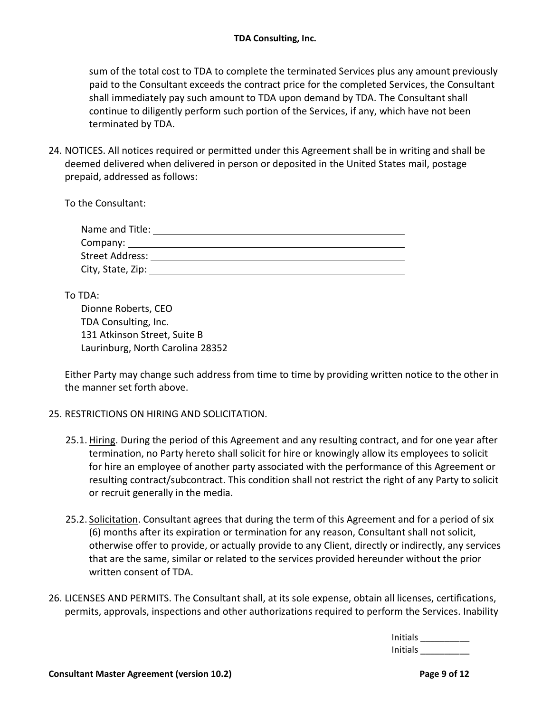sum of the total cost to TDA to complete the terminated Services plus any amount previously paid to the Consultant exceeds the contract price for the completed Services, the Consultant shall immediately pay such amount to TDA upon demand by TDA. The Consultant shall continue to diligently perform such portion of the Services, if any, which have not been terminated by TDA.

24. NOTICES. All notices required or permitted under this Agreement shall be in writing and shall be deemed delivered when delivered in person or deposited in the United States mail, postage prepaid, addressed as follows:

To the Consultant:

| Name and Title:   |  |
|-------------------|--|
| Company:          |  |
| Street Address:   |  |
| City, State, Zip: |  |

To TDA:

Dionne Roberts, CEO TDA Consulting, Inc. 131 Atkinson Street, Suite B Laurinburg, North Carolina 28352

Either Party may change such address from time to time by providing written notice to the other in the manner set forth above.

## 25. RESTRICTIONS ON HIRING AND SOLICITATION.

- 25.1. Hiring. During the period of this Agreement and any resulting contract, and for one year after termination, no Party hereto shall solicit for hire or knowingly allow its employees to solicit for hire an employee of another party associated with the performance of this Agreement or resulting contract/subcontract. This condition shall not restrict the right of any Party to solicit or recruit generally in the media.
- 25.2. Solicitation. Consultant agrees that during the term of this Agreement and for a period of six (6) months after its expiration or termination for any reason, Consultant shall not solicit, otherwise offer to provide, or actually provide to any Client, directly or indirectly, any services that are the same, similar or related to the services provided hereunder without the prior written consent of TDA.
- 26. LICENSES AND PERMITS. The Consultant shall, at its sole expense, obtain all licenses, certifications, permits, approvals, inspections and other authorizations required to perform the Services. Inability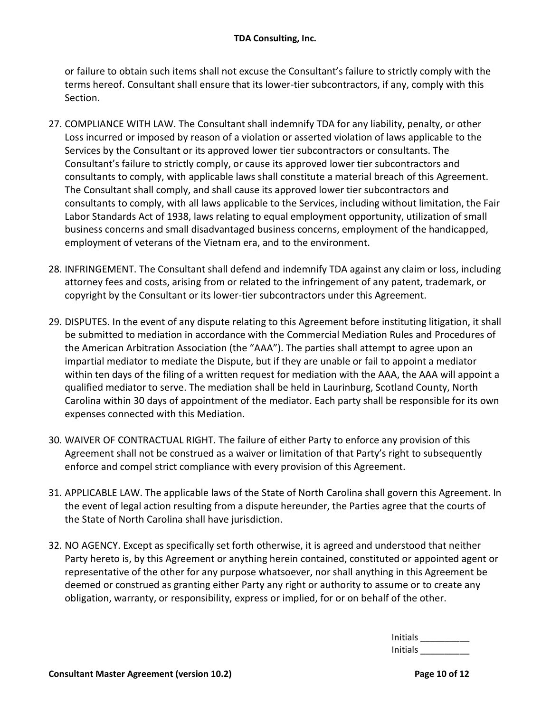or failure to obtain such items shall not excuse the Consultant's failure to strictly comply with the terms hereof. Consultant shall ensure that its lower-tier subcontractors, if any, comply with this Section.

- 27. COMPLIANCE WITH LAW. The Consultant shall indemnify TDA for any liability, penalty, or other Loss incurred or imposed by reason of a violation or asserted violation of laws applicable to the Services by the Consultant or its approved lower tier subcontractors or consultants. The Consultant's failure to strictly comply, or cause its approved lower tier subcontractors and consultants to comply, with applicable laws shall constitute a material breach of this Agreement. The Consultant shall comply, and shall cause its approved lower tier subcontractors and consultants to comply, with all laws applicable to the Services, including without limitation, the Fair Labor Standards Act of 1938, laws relating to equal employment opportunity, utilization of small business concerns and small disadvantaged business concerns, employment of the handicapped, employment of veterans of the Vietnam era, and to the environment.
- 28. INFRINGEMENT. The Consultant shall defend and indemnify TDA against any claim or loss, including attorney fees and costs, arising from or related to the infringement of any patent, trademark, or copyright by the Consultant or its lower-tier subcontractors under this Agreement.
- 29. DISPUTES. In the event of any dispute relating to this Agreement before instituting litigation, it shall be submitted to mediation in accordance with the Commercial Mediation Rules and Procedures of the American Arbitration Association (the "AAA"). The parties shall attempt to agree upon an impartial mediator to mediate the Dispute, but if they are unable or fail to appoint a mediator within ten days of the filing of a written request for mediation with the AAA, the AAA will appoint a qualified mediator to serve. The mediation shall be held in Laurinburg, Scotland County, North Carolina within 30 days of appointment of the mediator. Each party shall be responsible for its own expenses connected with this Mediation.
- 30. WAIVER OF CONTRACTUAL RIGHT. The failure of either Party to enforce any provision of this Agreement shall not be construed as a waiver or limitation of that Party's right to subsequently enforce and compel strict compliance with every provision of this Agreement.
- 31. APPLICABLE LAW. The applicable laws of the State of North Carolina shall govern this Agreement. In the event of legal action resulting from a dispute hereunder, the Parties agree that the courts of the State of North Carolina shall have jurisdiction.
- 32. NO AGENCY. Except as specifically set forth otherwise, it is agreed and understood that neither Party hereto is, by this Agreement or anything herein contained, constituted or appointed agent or representative of the other for any purpose whatsoever, nor shall anything in this Agreement be deemed or construed as granting either Party any right or authority to assume or to create any obligation, warranty, or responsibility, express or implied, for or on behalf of the other.

 $Initials$ Initials \_\_\_\_\_\_\_\_\_\_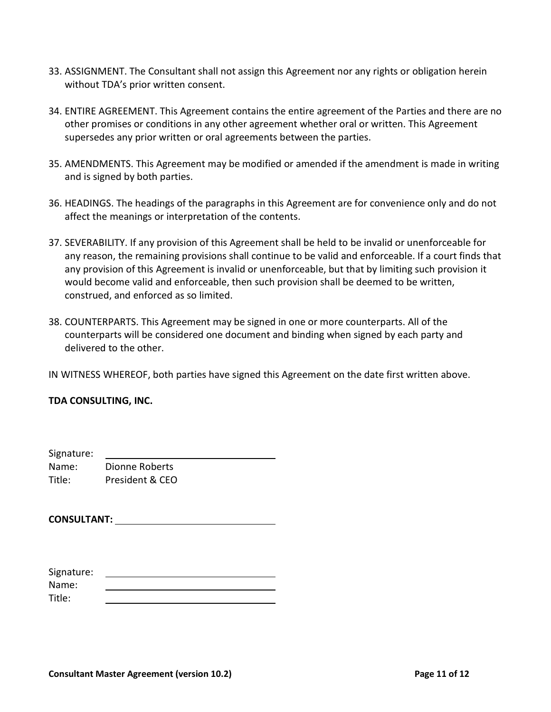- 33. ASSIGNMENT. The Consultant shall not assign this Agreement nor any rights or obligation herein without TDA's prior written consent.
- 34. ENTIRE AGREEMENT. This Agreement contains the entire agreement of the Parties and there are no other promises or conditions in any other agreement whether oral or written. This Agreement supersedes any prior written or oral agreements between the parties.
- 35. AMENDMENTS. This Agreement may be modified or amended if the amendment is made in writing and is signed by both parties.
- 36. HEADINGS. The headings of the paragraphs in this Agreement are for convenience only and do not affect the meanings or interpretation of the contents.
- 37. SEVERABILITY. If any provision of this Agreement shall be held to be invalid or unenforceable for any reason, the remaining provisions shall continue to be valid and enforceable. If a court finds that any provision of this Agreement is invalid or unenforceable, but that by limiting such provision it would become valid and enforceable, then such provision shall be deemed to be written, construed, and enforced as so limited.
- 38. COUNTERPARTS. This Agreement may be signed in one or more counterparts. All of the counterparts will be considered one document and binding when signed by each party and delivered to the other.

IN WITNESS WHEREOF, both parties have signed this Agreement on the date first written above.

## **TDA CONSULTING, INC.**

Signature:

| Signature: |                 |
|------------|-----------------|
| Name:      | Dionne Roberts  |
| Title:     | President & CEO |

**CONSULTANT:**

| Signature: |  |
|------------|--|
| Name:      |  |
| Title:     |  |